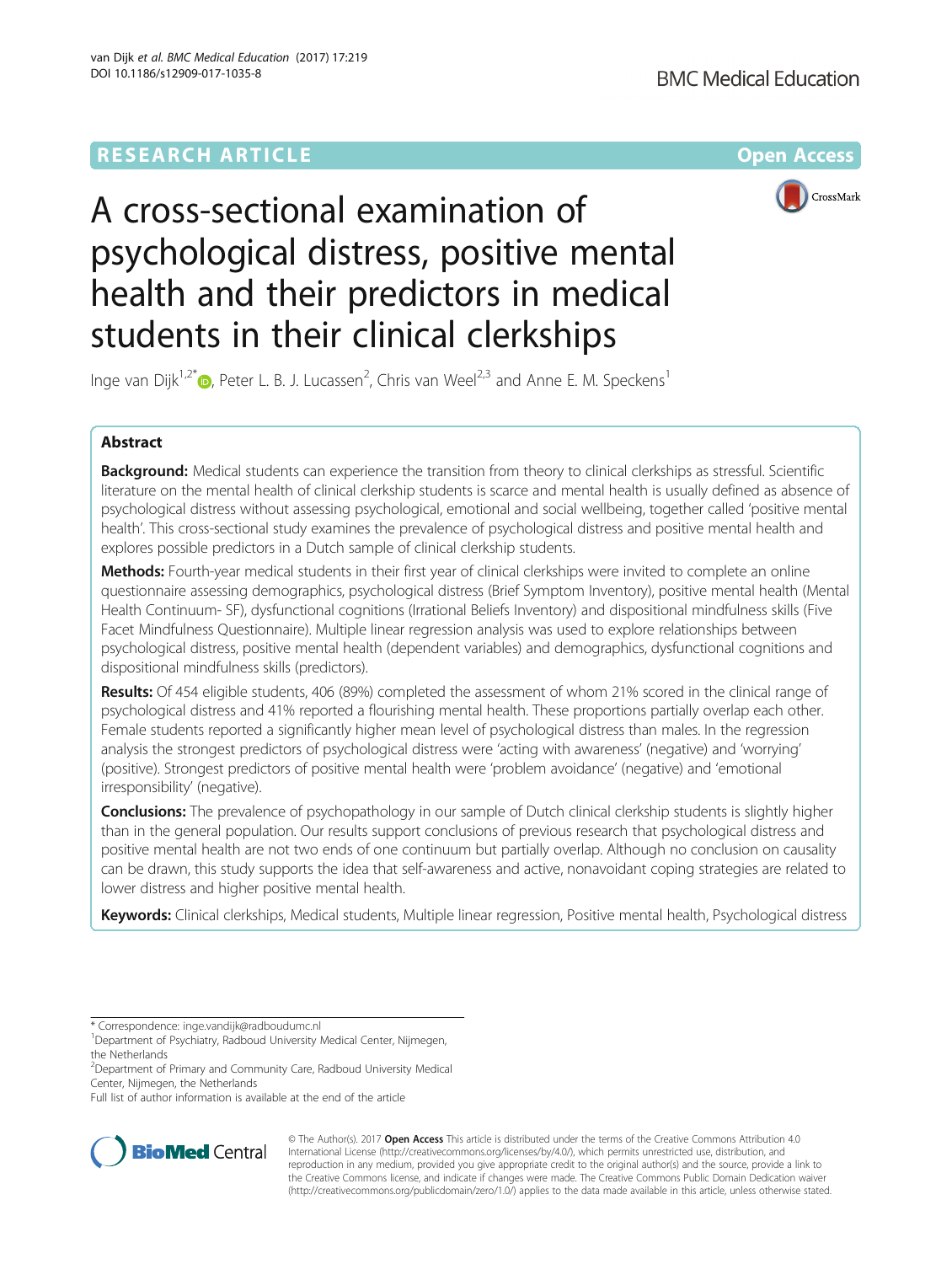# **RESEARCH ARTICLE Example 2014 12:30 The Contract of Contract Article 2014**



# A cross-sectional examination of psychological distress, positive mental health and their predictors in medical students in their clinical clerkships

Inge van Dijk<sup>1,2\*</sup>®, Peter L. B. J. Lucassen<sup>2</sup>, Chris van Weel<sup>2,3</sup> and Anne E. M. Speckens<sup>1</sup>

# Abstract

**Background:** Medical students can experience the transition from theory to clinical clerkships as stressful. Scientific literature on the mental health of clinical clerkship students is scarce and mental health is usually defined as absence of psychological distress without assessing psychological, emotional and social wellbeing, together called 'positive mental health'. This cross-sectional study examines the prevalence of psychological distress and positive mental health and explores possible predictors in a Dutch sample of clinical clerkship students.

Methods: Fourth-year medical students in their first year of clinical clerkships were invited to complete an online questionnaire assessing demographics, psychological distress (Brief Symptom Inventory), positive mental health (Mental Health Continuum- SF), dysfunctional cognitions (Irrational Beliefs Inventory) and dispositional mindfulness skills (Five Facet Mindfulness Questionnaire). Multiple linear regression analysis was used to explore relationships between psychological distress, positive mental health (dependent variables) and demographics, dysfunctional cognitions and dispositional mindfulness skills (predictors).

Results: Of 454 eligible students, 406 (89%) completed the assessment of whom 21% scored in the clinical range of psychological distress and 41% reported a flourishing mental health. These proportions partially overlap each other. Female students reported a significantly higher mean level of psychological distress than males. In the regression analysis the strongest predictors of psychological distress were 'acting with awareness' (negative) and 'worrying' (positive). Strongest predictors of positive mental health were 'problem avoidance' (negative) and 'emotional irresponsibility' (negative).

**Conclusions:** The prevalence of psychopathology in our sample of Dutch clinical clerkship students is slightly higher than in the general population. Our results support conclusions of previous research that psychological distress and positive mental health are not two ends of one continuum but partially overlap. Although no conclusion on causality can be drawn, this study supports the idea that self-awareness and active, nonavoidant coping strategies are related to lower distress and higher positive mental health.

Keywords: Clinical clerkships, Medical students, Multiple linear regression, Positive mental health, Psychological distress

\* Correspondence: [inge.vandijk@radboudumc.nl](mailto:inge.vandijk@radboudumc.nl) <sup>1</sup>

Full list of author information is available at the end of the article



© The Author(s). 2017 **Open Access** This article is distributed under the terms of the Creative Commons Attribution 4.0 International License [\(http://creativecommons.org/licenses/by/4.0/](http://creativecommons.org/licenses/by/4.0/)), which permits unrestricted use, distribution, and reproduction in any medium, provided you give appropriate credit to the original author(s) and the source, provide a link to the Creative Commons license, and indicate if changes were made. The Creative Commons Public Domain Dedication waiver [\(http://creativecommons.org/publicdomain/zero/1.0/](http://creativecommons.org/publicdomain/zero/1.0/)) applies to the data made available in this article, unless otherwise stated.

<sup>&</sup>lt;sup>1</sup>Department of Psychiatry, Radboud University Medical Center, Nijmegen, the Netherlands

<sup>&</sup>lt;sup>2</sup> Department of Primary and Community Care, Radboud University Medical Center, Nijmegen, the Netherlands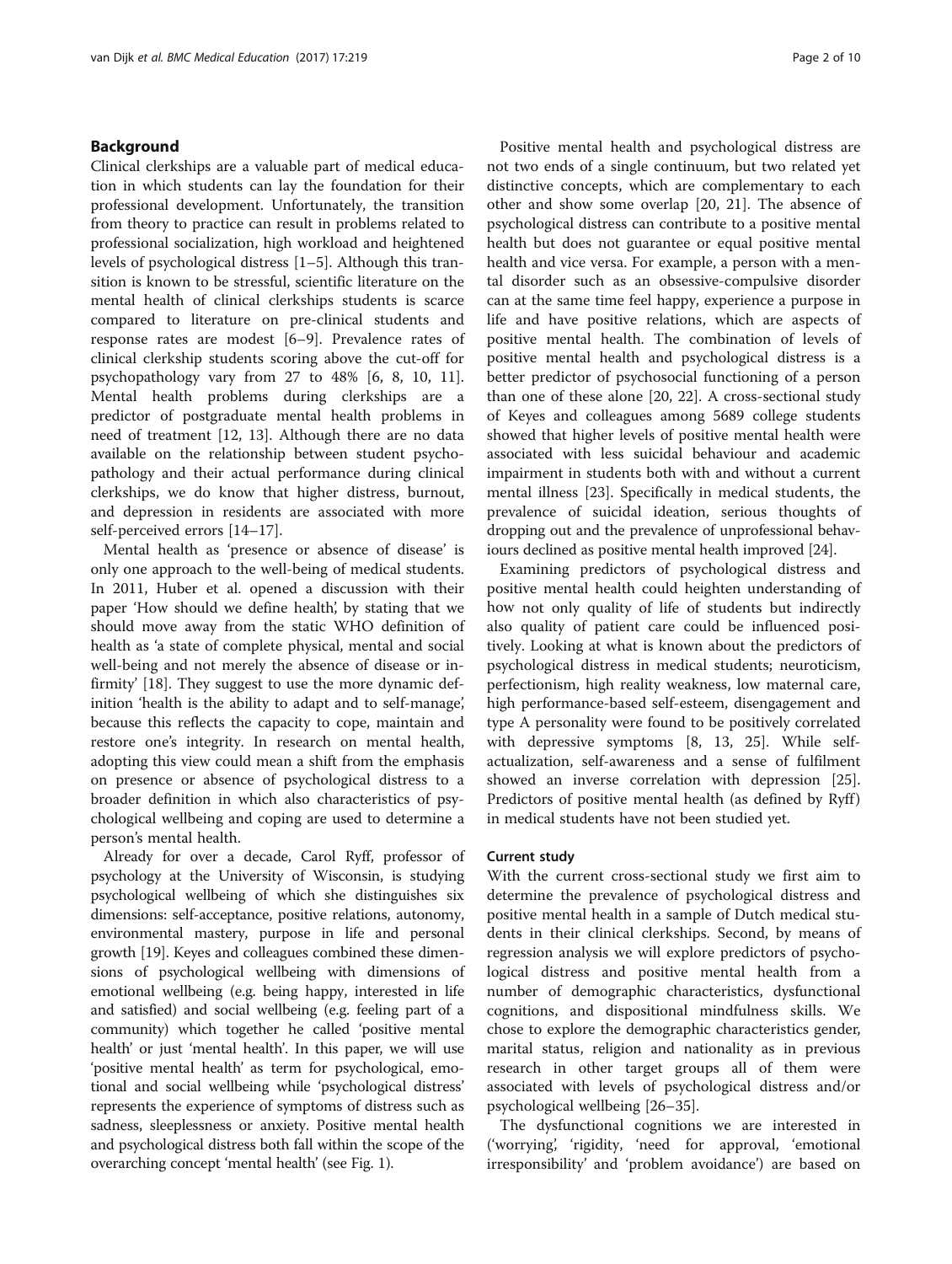# Background

Clinical clerkships are a valuable part of medical education in which students can lay the foundation for their professional development. Unfortunately, the transition from theory to practice can result in problems related to professional socialization, high workload and heightened levels of psychological distress [[1](#page-8-0)–[5\]](#page-8-0). Although this transition is known to be stressful, scientific literature on the mental health of clinical clerkships students is scarce compared to literature on pre-clinical students and response rates are modest [[6](#page-8-0)–[9\]](#page-8-0). Prevalence rates of clinical clerkship students scoring above the cut-off for psychopathology vary from 27 to 48% [[6, 8](#page-8-0), [10, 11](#page-8-0)]. Mental health problems during clerkships are a predictor of postgraduate mental health problems in need of treatment [\[12](#page-8-0), [13](#page-8-0)]. Although there are no data available on the relationship between student psychopathology and their actual performance during clinical clerkships, we do know that higher distress, burnout, and depression in residents are associated with more self-perceived errors [\[14](#page-8-0)–[17\]](#page-8-0).

Mental health as 'presence or absence of disease' is only one approach to the well-being of medical students. In 2011, Huber et al. opened a discussion with their paper 'How should we define health', by stating that we should move away from the static WHO definition of health as 'a state of complete physical, mental and social well-being and not merely the absence of disease or infirmity' [\[18](#page-8-0)]. They suggest to use the more dynamic definition 'health is the ability to adapt and to self-manage', because this reflects the capacity to cope, maintain and restore one's integrity. In research on mental health, adopting this view could mean a shift from the emphasis on presence or absence of psychological distress to a broader definition in which also characteristics of psychological wellbeing and coping are used to determine a person's mental health.

Already for over a decade, Carol Ryff, professor of psychology at the University of Wisconsin, is studying psychological wellbeing of which she distinguishes six dimensions: self-acceptance, positive relations, autonomy, environmental mastery, purpose in life and personal growth [[19\]](#page-8-0). Keyes and colleagues combined these dimensions of psychological wellbeing with dimensions of emotional wellbeing (e.g. being happy, interested in life and satisfied) and social wellbeing (e.g. feeling part of a community) which together he called 'positive mental health' or just 'mental health'. In this paper, we will use 'positive mental health' as term for psychological, emotional and social wellbeing while 'psychological distress' represents the experience of symptoms of distress such as sadness, sleeplessness or anxiety. Positive mental health and psychological distress both fall within the scope of the overarching concept 'mental health' (see Fig. [1](#page-2-0)).

Positive mental health and psychological distress are not two ends of a single continuum, but two related yet distinctive concepts, which are complementary to each other and show some overlap [\[20](#page-8-0), [21](#page-8-0)]. The absence of psychological distress can contribute to a positive mental health but does not guarantee or equal positive mental health and vice versa. For example, a person with a mental disorder such as an obsessive-compulsive disorder can at the same time feel happy, experience a purpose in life and have positive relations, which are aspects of positive mental health. The combination of levels of positive mental health and psychological distress is a better predictor of psychosocial functioning of a person than one of these alone [[20, 22](#page-8-0)]. A cross-sectional study of Keyes and colleagues among 5689 college students showed that higher levels of positive mental health were associated with less suicidal behaviour and academic impairment in students both with and without a current mental illness [[23\]](#page-8-0). Specifically in medical students, the prevalence of suicidal ideation, serious thoughts of dropping out and the prevalence of unprofessional behaviours declined as positive mental health improved [[24\]](#page-8-0).

Examining predictors of psychological distress and positive mental health could heighten understanding of how not only quality of life of students but indirectly also quality of patient care could be influenced positively. Looking at what is known about the predictors of psychological distress in medical students; neuroticism, perfectionism, high reality weakness, low maternal care, high performance-based self-esteem, disengagement and type A personality were found to be positively correlated with depressive symptoms [\[8](#page-8-0), [13, 25](#page-8-0)]. While selfactualization, self-awareness and a sense of fulfilment showed an inverse correlation with depression [\[25](#page-8-0)]. Predictors of positive mental health (as defined by Ryff) in medical students have not been studied yet.

## Current study

With the current cross-sectional study we first aim to determine the prevalence of psychological distress and positive mental health in a sample of Dutch medical students in their clinical clerkships. Second, by means of regression analysis we will explore predictors of psychological distress and positive mental health from a number of demographic characteristics, dysfunctional cognitions, and dispositional mindfulness skills. We chose to explore the demographic characteristics gender, marital status, religion and nationality as in previous research in other target groups all of them were associated with levels of psychological distress and/or psychological wellbeing [[26](#page-8-0)–[35](#page-9-0)].

The dysfunctional cognitions we are interested in ('worrying', 'rigidity, 'need for approval, 'emotional irresponsibility' and 'problem avoidance') are based on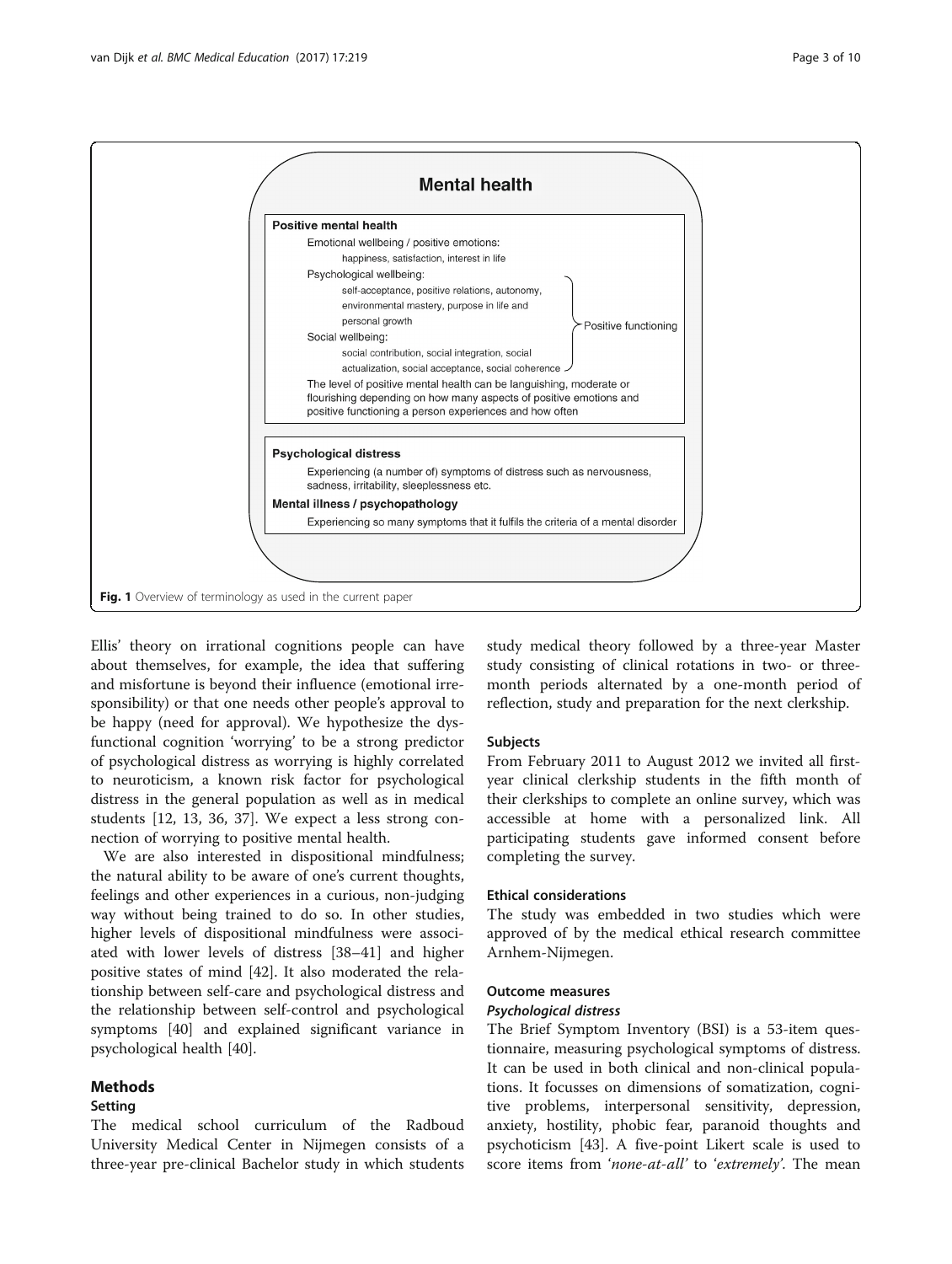<span id="page-2-0"></span>

Ellis' theory on irrational cognitions people can have about themselves, for example, the idea that suffering and misfortune is beyond their influence (emotional irresponsibility) or that one needs other people's approval to be happy (need for approval). We hypothesize the dysfunctional cognition 'worrying' to be a strong predictor of psychological distress as worrying is highly correlated to neuroticism, a known risk factor for psychological distress in the general population as well as in medical students [\[12](#page-8-0), [13](#page-8-0), [36](#page-9-0), [37](#page-9-0)]. We expect a less strong connection of worrying to positive mental health.

We are also interested in dispositional mindfulness; the natural ability to be aware of one's current thoughts, feelings and other experiences in a curious, non-judging way without being trained to do so. In other studies, higher levels of dispositional mindfulness were associated with lower levels of distress [\[38](#page-9-0)–[41\]](#page-9-0) and higher positive states of mind [[42](#page-9-0)]. It also moderated the relationship between self-care and psychological distress and the relationship between self-control and psychological symptoms [\[40\]](#page-9-0) and explained significant variance in psychological health [\[40](#page-9-0)].

# Methods

# Setting

The medical school curriculum of the Radboud University Medical Center in Nijmegen consists of a three-year pre-clinical Bachelor study in which students study medical theory followed by a three-year Master study consisting of clinical rotations in two- or threemonth periods alternated by a one-month period of reflection, study and preparation for the next clerkship.

# Subjects

From February 2011 to August 2012 we invited all firstyear clinical clerkship students in the fifth month of their clerkships to complete an online survey, which was accessible at home with a personalized link. All participating students gave informed consent before completing the survey.

## Ethical considerations

The study was embedded in two studies which were approved of by the medical ethical research committee Arnhem-Nijmegen.

# Outcome measures

#### Psychological distress

The Brief Symptom Inventory (BSI) is a 53-item questionnaire, measuring psychological symptoms of distress. It can be used in both clinical and non-clinical populations. It focusses on dimensions of somatization, cognitive problems, interpersonal sensitivity, depression, anxiety, hostility, phobic fear, paranoid thoughts and psychoticism [[43](#page-9-0)]. A five-point Likert scale is used to score items from 'none-at-all' to 'extremely'. The mean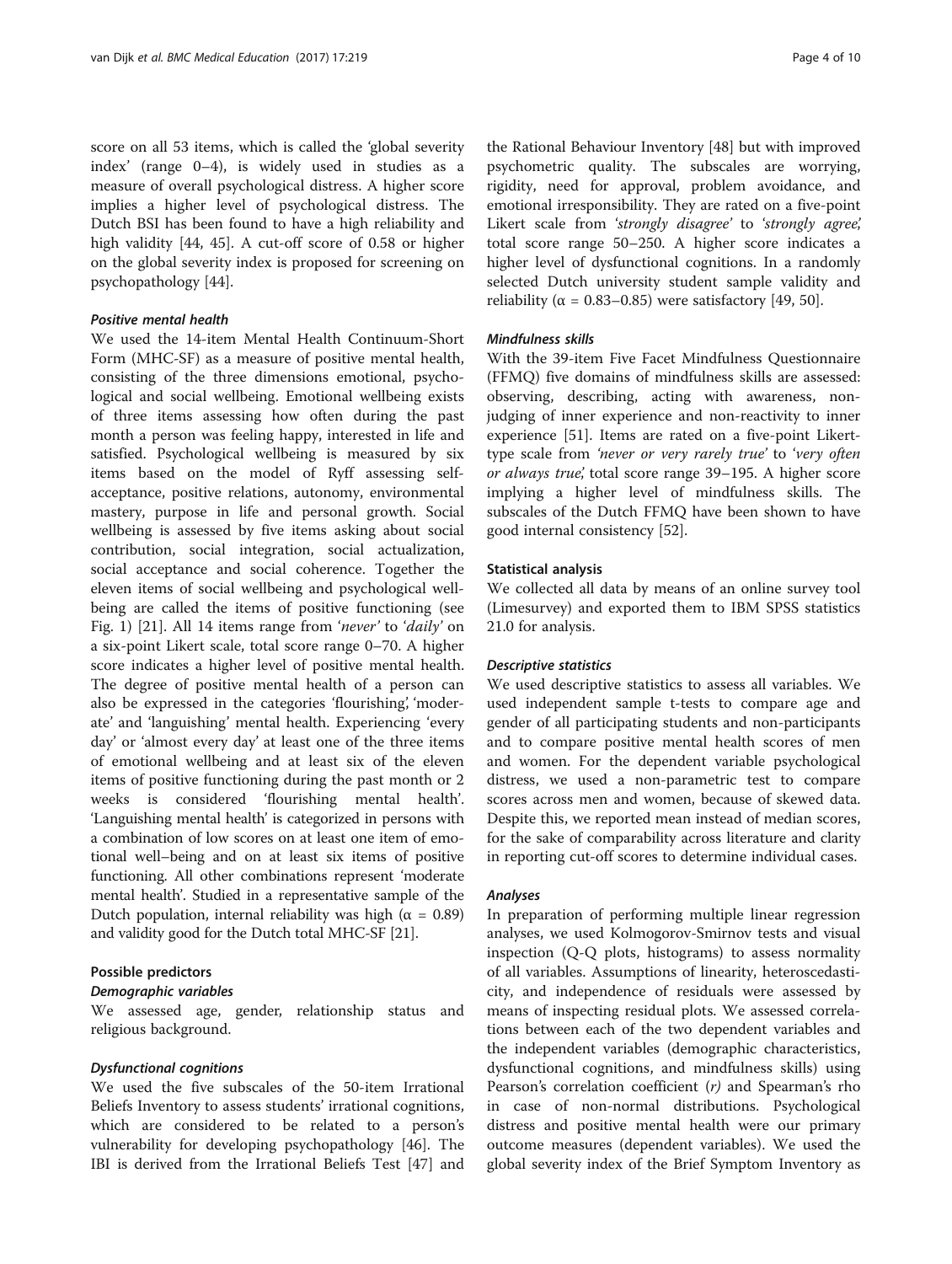score on all 53 items, which is called the 'global severity index' (range 0–4), is widely used in studies as a measure of overall psychological distress. A higher score implies a higher level of psychological distress. The Dutch BSI has been found to have a high reliability and high validity [\[44](#page-9-0), [45](#page-9-0)]. A cut-off score of 0.58 or higher on the global severity index is proposed for screening on psychopathology [\[44\]](#page-9-0).

# Positive mental health

We used the 14-item Mental Health Continuum-Short Form (MHC-SF) as a measure of positive mental health, consisting of the three dimensions emotional, psychological and social wellbeing. Emotional wellbeing exists of three items assessing how often during the past month a person was feeling happy, interested in life and satisfied. Psychological wellbeing is measured by six items based on the model of Ryff assessing selfacceptance, positive relations, autonomy, environmental mastery, purpose in life and personal growth. Social wellbeing is assessed by five items asking about social contribution, social integration, social actualization, social acceptance and social coherence. Together the eleven items of social wellbeing and psychological wellbeing are called the items of positive functioning (see Fig. [1\)](#page-2-0) [\[21](#page-8-0)]. All 14 items range from 'never' to 'daily' on a six-point Likert scale, total score range 0–70. A higher score indicates a higher level of positive mental health. The degree of positive mental health of a person can also be expressed in the categories 'flourishing', 'moderate' and 'languishing' mental health. Experiencing 'every day' or 'almost every day' at least one of the three items of emotional wellbeing and at least six of the eleven items of positive functioning during the past month or 2 weeks is considered 'flourishing mental health'. 'Languishing mental health' is categorized in persons with a combination of low scores on at least one item of emotional well–being and on at least six items of positive functioning. All other combinations represent 'moderate mental health'. Studied in a representative sample of the Dutch population, internal reliability was high ( $α = 0.89$ ) and validity good for the Dutch total MHC-SF [\[21\]](#page-8-0).

#### Possible predictors

# Demographic variables

We assessed age, gender, relationship status and religious background.

### Dysfunctional cognitions

We used the five subscales of the 50-item Irrational Beliefs Inventory to assess students' irrational cognitions, which are considered to be related to a person's vulnerability for developing psychopathology [\[46](#page-9-0)]. The IBI is derived from the Irrational Beliefs Test [\[47\]](#page-9-0) and

the Rational Behaviour Inventory [[48](#page-9-0)] but with improved psychometric quality. The subscales are worrying, rigidity, need for approval, problem avoidance, and emotional irresponsibility. They are rated on a five-point Likert scale from 'strongly disagree' to 'strongly agree', total score range 50–250. A higher score indicates a higher level of dysfunctional cognitions. In a randomly selected Dutch university student sample validity and reliability ( $\alpha = 0.83 - 0.85$ ) were satisfactory [\[49](#page-9-0), [50](#page-9-0)].

# Mindfulness skills

With the 39-item Five Facet Mindfulness Questionnaire (FFMQ) five domains of mindfulness skills are assessed: observing, describing, acting with awareness, nonjudging of inner experience and non-reactivity to inner experience [[51\]](#page-9-0). Items are rated on a five-point Likerttype scale from 'never or very rarely true' to 'very often or always true', total score range 39–195. A higher score implying a higher level of mindfulness skills. The subscales of the Dutch FFMQ have been shown to have good internal consistency [\[52](#page-9-0)].

### Statistical analysis

We collected all data by means of an online survey tool (Limesurvey) and exported them to IBM SPSS statistics 21.0 for analysis.

#### Descriptive statistics

We used descriptive statistics to assess all variables. We used independent sample t-tests to compare age and gender of all participating students and non-participants and to compare positive mental health scores of men and women. For the dependent variable psychological distress, we used a non-parametric test to compare scores across men and women, because of skewed data. Despite this, we reported mean instead of median scores, for the sake of comparability across literature and clarity in reporting cut-off scores to determine individual cases.

## Analyses

In preparation of performing multiple linear regression analyses, we used Kolmogorov-Smirnov tests and visual inspection (Q-Q plots, histograms) to assess normality of all variables. Assumptions of linearity, heteroscedasticity, and independence of residuals were assessed by means of inspecting residual plots. We assessed correlations between each of the two dependent variables and the independent variables (demographic characteristics, dysfunctional cognitions, and mindfulness skills) using Pearson's correlation coefficient (r) and Spearman's rho in case of non-normal distributions. Psychological distress and positive mental health were our primary outcome measures (dependent variables). We used the global severity index of the Brief Symptom Inventory as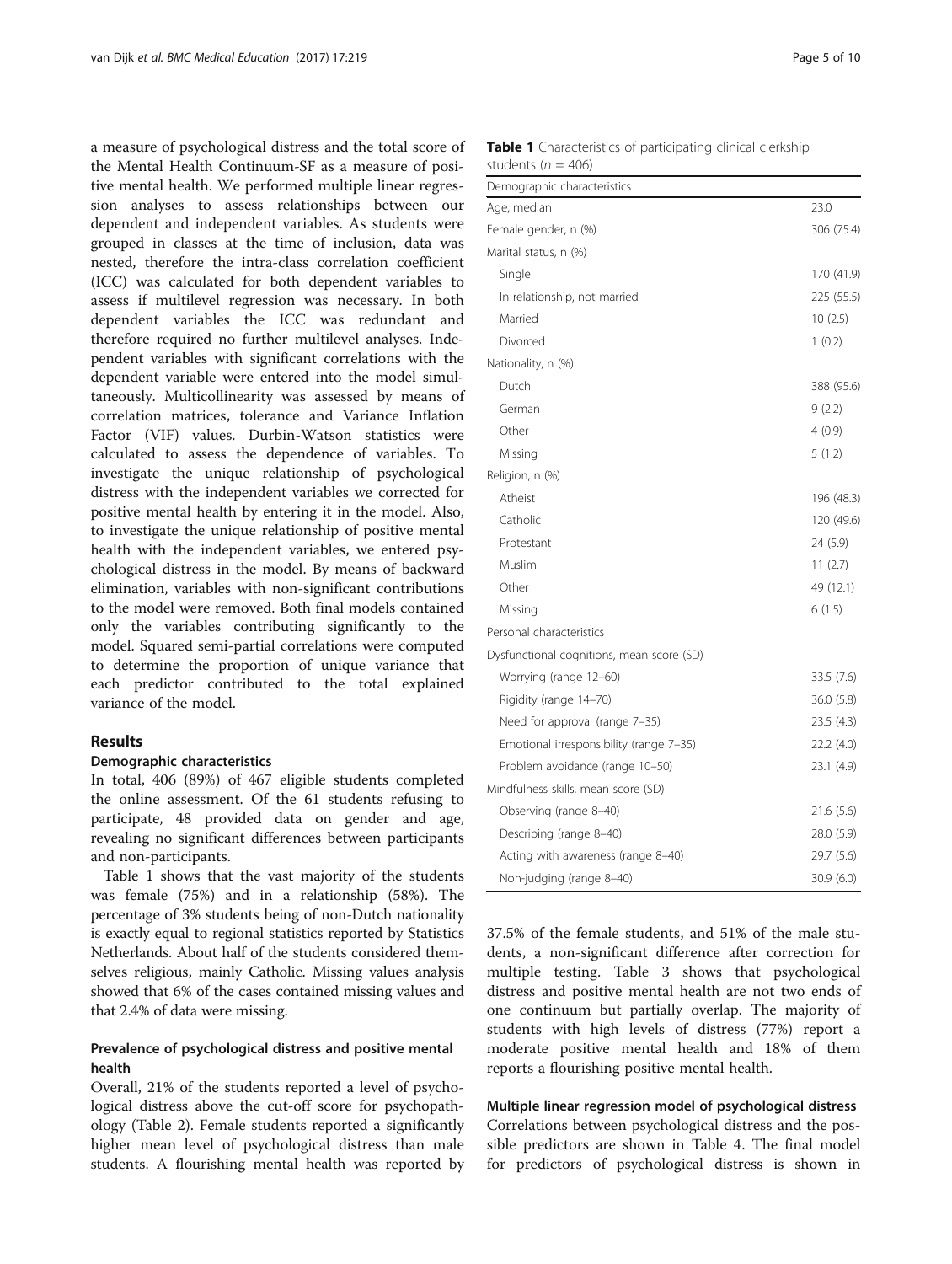a measure of psychological distress and the total score of the Mental Health Continuum-SF as a measure of positive mental health. We performed multiple linear regression analyses to assess relationships between our dependent and independent variables. As students were grouped in classes at the time of inclusion, data was nested, therefore the intra-class correlation coefficient (ICC) was calculated for both dependent variables to assess if multilevel regression was necessary. In both dependent variables the ICC was redundant and therefore required no further multilevel analyses. Independent variables with significant correlations with the dependent variable were entered into the model simultaneously. Multicollinearity was assessed by means of correlation matrices, tolerance and Variance Inflation Factor (VIF) values. Durbin-Watson statistics were calculated to assess the dependence of variables. To investigate the unique relationship of psychological distress with the independent variables we corrected for positive mental health by entering it in the model. Also, to investigate the unique relationship of positive mental health with the independent variables, we entered psychological distress in the model. By means of backward elimination, variables with non-significant contributions to the model were removed. Both final models contained only the variables contributing significantly to the model. Squared semi-partial correlations were computed to determine the proportion of unique variance that each predictor contributed to the total explained variance of the model.

# Results

### Demographic characteristics

In total, 406 (89%) of 467 eligible students completed the online assessment. Of the 61 students refusing to participate, 48 provided data on gender and age, revealing no significant differences between participants and non-participants.

Table 1 shows that the vast majority of the students was female (75%) and in a relationship (58%). The percentage of 3% students being of non-Dutch nationality is exactly equal to regional statistics reported by Statistics Netherlands. About half of the students considered themselves religious, mainly Catholic. Missing values analysis showed that 6% of the cases contained missing values and that 2.4% of data were missing.

# Prevalence of psychological distress and positive mental health

Overall, 21% of the students reported a level of psychological distress above the cut-off score for psychopathology (Table [2\)](#page-5-0). Female students reported a significantly higher mean level of psychological distress than male students. A flourishing mental health was reported by

|                        | <b>Table 1</b> Characteristics of participating clinical clerkship |
|------------------------|--------------------------------------------------------------------|
| students ( $n = 406$ ) |                                                                    |

| Demographic characteristics               |            |
|-------------------------------------------|------------|
| Age, median                               | 23.0       |
| Female gender, n (%)                      | 306 (75.4) |
| Marital status, n (%)                     |            |
| Single                                    | 170 (41.9) |
| In relationship, not married              | 225 (55.5) |
| Married                                   | 10(2.5)    |
| Divorced                                  | 1(0.2)     |
| Nationality, n (%)                        |            |
| Dutch                                     | 388 (95.6) |
| German                                    | 9(2.2)     |
| Other                                     | 4(0.9)     |
| Missing                                   | 5(1.2)     |
| Religion, n (%)                           |            |
| Atheist                                   | 196 (48.3) |
| Catholic                                  | 120 (49.6) |
| Protestant                                | 24 (5.9)   |
| Muslim                                    | 11(2.7)    |
| Other                                     | 49 (12.1)  |
| Missing                                   | 6(1.5)     |
| Personal characteristics                  |            |
| Dysfunctional cognitions, mean score (SD) |            |
| Worrying (range 12-60)                    | 33.5 (7.6) |
| Rigidity (range 14–70)                    | 36.0 (5.8) |
| Need for approval (range 7–35)            | 23.5 (4.3) |
| Emotional irresponsibility (range 7-35)   | 22.2 (4.0) |
| Problem avoidance (range 10-50)           | 23.1 (4.9) |
| Mindfulness skills, mean score (SD)       |            |
| Observing (range 8-40)                    | 21.6 (5.6) |
| Describing (range 8-40)                   | 28.0 (5.9) |
| Acting with awareness (range 8-40)        | 29.7 (5.6) |
| Non-judging (range 8-40)                  | 30.9 (6.0) |

37.5% of the female students, and 51% of the male students, a non-significant difference after correction for multiple testing. Table [3](#page-5-0) shows that psychological distress and positive mental health are not two ends of one continuum but partially overlap. The majority of students with high levels of distress (77%) report a moderate positive mental health and 18% of them reports a flourishing positive mental health.

Multiple linear regression model of psychological distress Correlations between psychological distress and the possible predictors are shown in Table [4](#page-5-0). The final model for predictors of psychological distress is shown in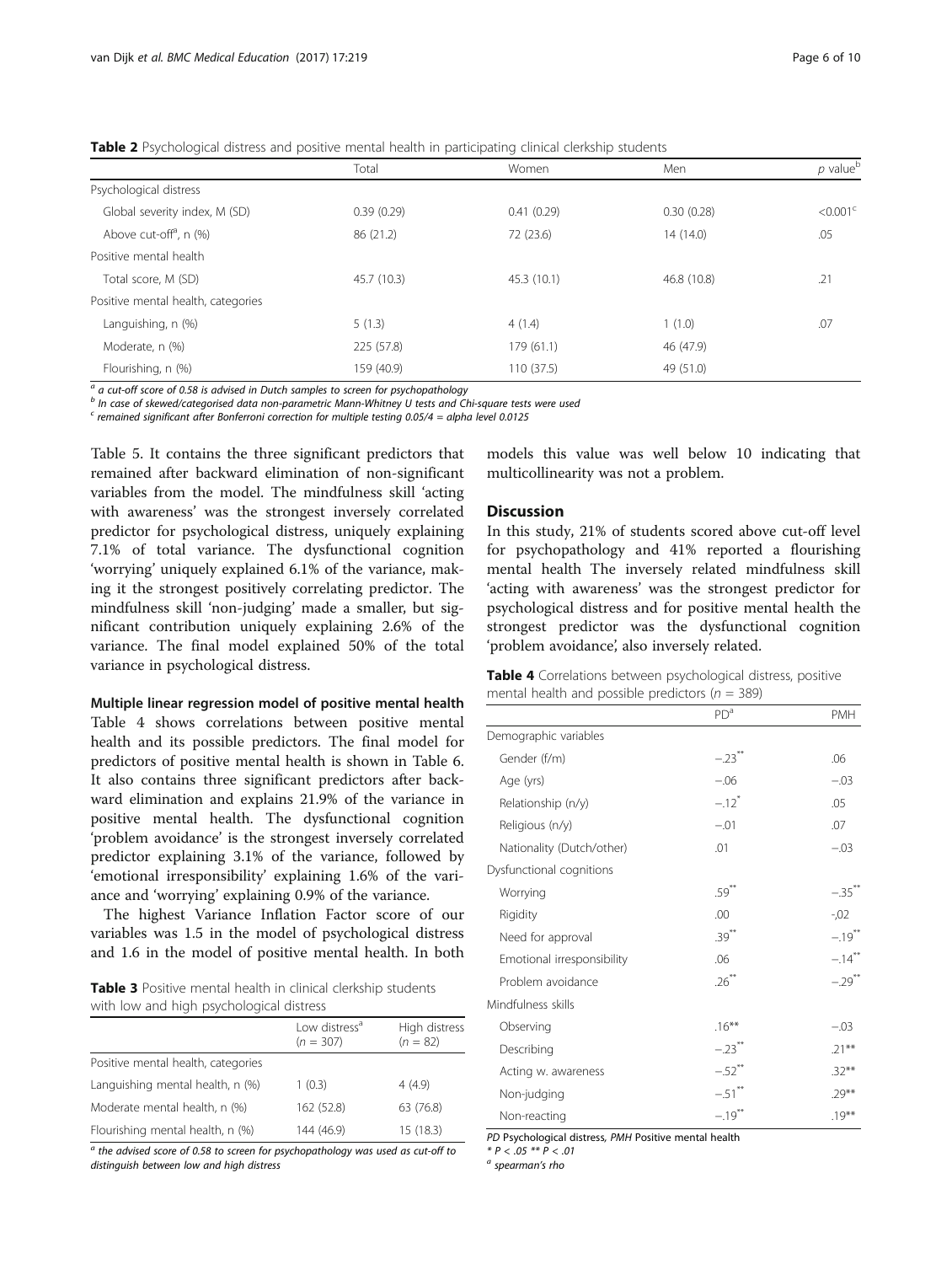<span id="page-5-0"></span>Table 2 Psychological distress and positive mental health in participating clinical clerkship students

|                                    | Total       | Women       | Men         | $p$ value <sup>b</sup> |
|------------------------------------|-------------|-------------|-------------|------------------------|
| Psychological distress             |             |             |             |                        |
| Global severity index, M (SD)      | 0.39(0.29)  | 0.41(0.29)  | 0.30(0.28)  | $<$ 0.001 $<$          |
| Above cut-off <sup>a</sup> , n (%) | 86 (21.2)   | 72 (23.6)   | 14 (14.0)   | .05                    |
| Positive mental health             |             |             |             |                        |
| Total score, M (SD)                | 45.7 (10.3) | 45.3 (10.1) | 46.8 (10.8) | .21                    |
| Positive mental health, categories |             |             |             |                        |
| Languishing, n (%)                 | 5(1.3)      | 4(1.4)      | 1(1.0)      | .07                    |
| Moderate, n (%)                    | 225 (57.8)  | 179(61.1)   | 46 (47.9)   |                        |
| Flourishing, n (%)                 | 159 (40.9)  | 110(37.5)   | 49 (51.0)   |                        |

 $a$  a cut-off score of 0.58 is advised in Dutch samples to screen for psychopathology

b In case of skewed/categorised data non-parametric Mann-Whitney U tests and Chi-square tests were used

 $c$  remained significant after Bonferroni correction for multiple testing 0.05/4 = alpha level 0.0125

Table [5.](#page-6-0) It contains the three significant predictors that remained after backward elimination of non-significant variables from the model. The mindfulness skill 'acting with awareness' was the strongest inversely correlated predictor for psychological distress, uniquely explaining 7.1% of total variance. The dysfunctional cognition 'worrying' uniquely explained 6.1% of the variance, making it the strongest positively correlating predictor. The mindfulness skill 'non-judging' made a smaller, but significant contribution uniquely explaining 2.6% of the variance. The final model explained 50% of the total variance in psychological distress.

#### Multiple linear regression model of positive mental health

Table 4 shows correlations between positive mental health and its possible predictors. The final model for predictors of positive mental health is shown in Table [6](#page-6-0). It also contains three significant predictors after backward elimination and explains 21.9% of the variance in positive mental health. The dysfunctional cognition 'problem avoidance' is the strongest inversely correlated predictor explaining 3.1% of the variance, followed by 'emotional irresponsibility' explaining 1.6% of the variance and 'worrying' explaining 0.9% of the variance.

The highest Variance Inflation Factor score of our variables was 1.5 in the model of psychological distress and 1.6 in the model of positive mental health. In both

Table 3 Positive mental health in clinical clerkship students with low and high psychological distress

|                                    | I ow distress <sup>a</sup><br>$(n = 307)$ | High distress<br>$(n = 82)$ |
|------------------------------------|-------------------------------------------|-----------------------------|
| Positive mental health, categories |                                           |                             |
| Languishing mental health, n (%)   | 1(0.3)                                    | 4(4.9)                      |
| Moderate mental health, n (%)      | 162 (52.8)                                | 63 (76.8)                   |
| Flourishing mental health, n (%)   | 144 (46.9)                                | 15(18.3)                    |

 $\frac{a}{a}$  the advised score of 0.58 to screen for psychopathology was used as cut-off to distinguish between low and high distress

models this value was well below 10 indicating that multicollinearity was not a problem.

# Discussion

In this study, 21% of students scored above cut-off level for psychopathology and 41% reported a flourishing mental health The inversely related mindfulness skill 'acting with awareness' was the strongest predictor for psychological distress and for positive mental health the strongest predictor was the dysfunctional cognition 'problem avoidance', also inversely related.

|  |                                                     |  | <b>Table 4</b> Correlations between psychological distress, positive |  |
|--|-----------------------------------------------------|--|----------------------------------------------------------------------|--|
|  | mental health and possible predictors ( $n = 389$ ) |  |                                                                      |  |

|                            | P D <sup>a</sup>     | <b>PMH</b>           |
|----------------------------|----------------------|----------------------|
| Demographic variables      |                      |                      |
| Gender (f/m)               | $-.23$ <sup>**</sup> | .06                  |
| Age (yrs)                  | $-.06$               | $-.03$               |
| Relationship (n/y)         | $-.12$ <sup>*</sup>  | .05                  |
| Religious (n/y)            | $-.01$               | .07                  |
| Nationality (Dutch/other)  | .01                  | $-.03$               |
| Dysfunctional cognitions   |                      |                      |
| Worrying                   | $.59***$             | $-.35***$            |
| Rigidity                   | .00 <sub>0</sub>     | $-0.02$              |
| Need for approval          | $.39***$             | $-.19***$            |
| Emotional irresponsibility | .06                  | $-.14***$            |
| Problem avoidance          | $.26***$             | $-.29$ <sup>**</sup> |
| Mindfulness skills         |                      |                      |
| Observing                  | $.16***$             | $-.03$               |
| Describing                 | $-.23$ <sup>**</sup> | $.21***$             |
| Acting w. awareness        | $-.52$ <sup>**</sup> | $.32***$             |
| Non-judging                | $-.51$ <sup>**</sup> | $.29***$             |
| Non-reacting               | $-.19***$            | $.19***$             |

PD Psychological distress, PMH Positive mental health

 $*$  P < .05  $*$  P < .01

<sup>a</sup> spearman's rho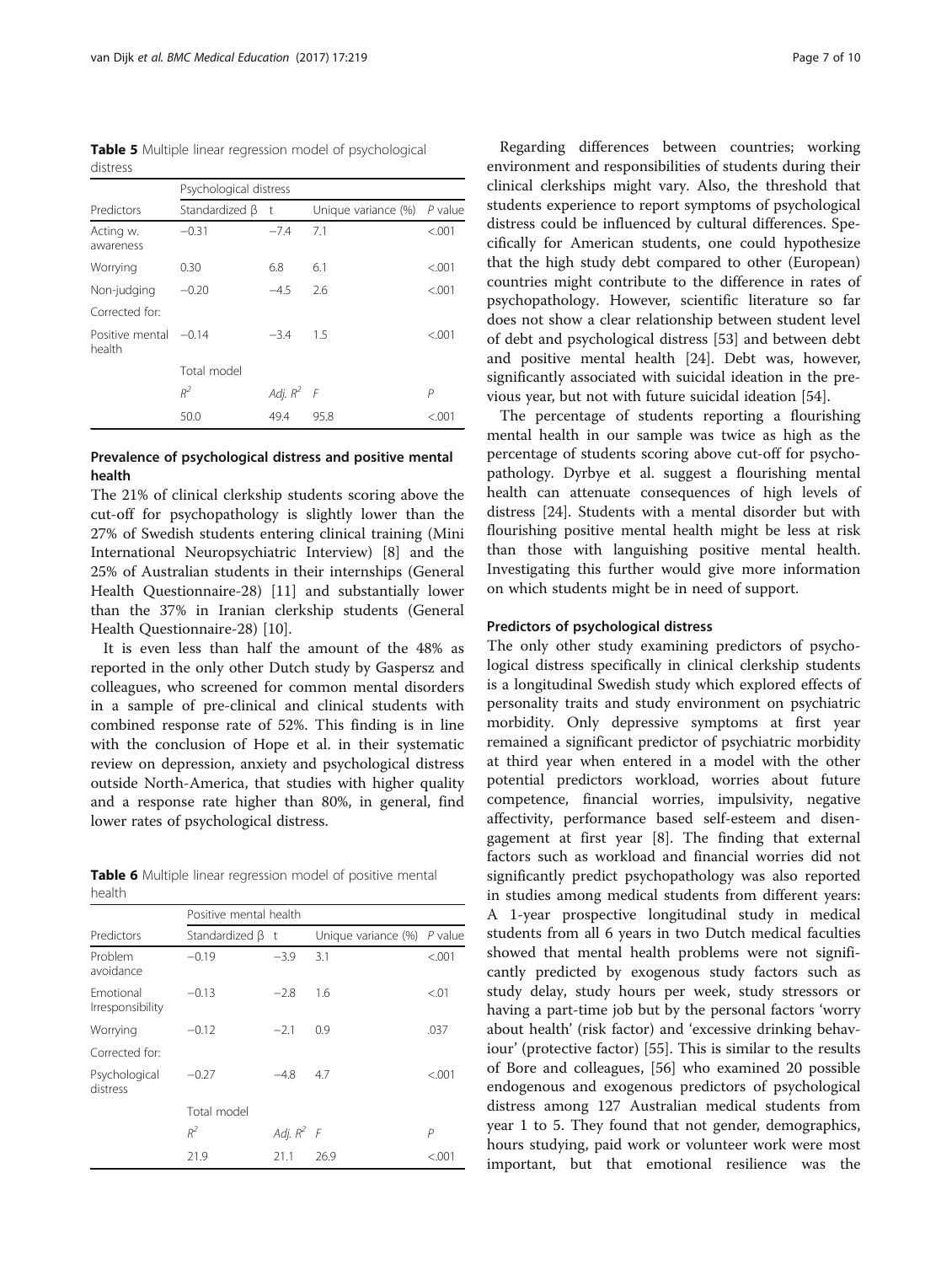<span id="page-6-0"></span>Table 5 Multiple linear regression model of psychological distress

|                           | Psychological distress |              |                     |           |  |
|---------------------------|------------------------|--------------|---------------------|-----------|--|
| Predictors                | Standardized B         | t            | Unique variance (%) | $P$ value |  |
| Acting w.<br>awareness    | $-0.31$                | $-7.4$       | 7.1                 | < 0.001   |  |
| Worrying                  | 0.30                   | 6.8          | 6.1                 | < 0.001   |  |
| Non-judging               | $-0.20$                | $-4.5$       | 2.6                 | < 0.001   |  |
| Corrected for:            |                        |              |                     |           |  |
| Positive mental<br>health | $-0.14$                | $-3.4$       | 15                  | < 0.01    |  |
|                           | Total model            |              |                     |           |  |
|                           | $R^2$                  | Adj. $R^2$ F |                     | P         |  |
|                           | 50.0                   | 49.4         | 95.8                | < 0.001   |  |

# Prevalence of psychological distress and positive mental health

The 21% of clinical clerkship students scoring above the cut-off for psychopathology is slightly lower than the 27% of Swedish students entering clinical training (Mini International Neuropsychiatric Interview) [\[8](#page-8-0)] and the 25% of Australian students in their internships (General Health Questionnaire-28) [[11\]](#page-8-0) and substantially lower than the 37% in Iranian clerkship students (General Health Questionnaire-28) [[10](#page-8-0)].

It is even less than half the amount of the 48% as reported in the only other Dutch study by Gaspersz and colleagues, who screened for common mental disorders in a sample of pre-clinical and clinical students with combined response rate of 52%. This finding is in line with the conclusion of Hope et al. in their systematic review on depression, anxiety and psychological distress outside North-America, that studies with higher quality and a response rate higher than 80%, in general, find lower rates of psychological distress.

Table 6 Multiple linear regression model of positive mental health

|                                      | Positive mental health |              |                             |                |  |
|--------------------------------------|------------------------|--------------|-----------------------------|----------------|--|
| Predictors                           | Standardized $\beta$ t |              | Unique variance (%) P value |                |  |
| Problem<br>avoidance                 | $-0.19$                | $-3.9$       | 3.1                         | < 0.001        |  |
| <b>Emotional</b><br>Irresponsibility | $-0.13$                | $-2.8$       | 1.6                         | < 0.01         |  |
| Worrying                             | $-0.12$                | $-2.1$       | 0.9                         | .037           |  |
| Corrected for:                       |                        |              |                             |                |  |
| Psychological<br>distress            | $-0.27$                | $-4.8$       | 4.7                         | < 0.001        |  |
|                                      | Total model            |              |                             |                |  |
|                                      | $R^2$                  | Adj. $R^2$ F |                             | $\overline{P}$ |  |
|                                      | 21.9                   | 21.1         | 26.9                        | < 0.001        |  |

Regarding differences between countries; working environment and responsibilities of students during their clinical clerkships might vary. Also, the threshold that students experience to report symptoms of psychological distress could be influenced by cultural differences. Specifically for American students, one could hypothesize that the high study debt compared to other (European) countries might contribute to the difference in rates of psychopathology. However, scientific literature so far does not show a clear relationship between student level of debt and psychological distress [\[53](#page-9-0)] and between debt and positive mental health [[24\]](#page-8-0). Debt was, however, significantly associated with suicidal ideation in the previous year, but not with future suicidal ideation [[54](#page-9-0)].

The percentage of students reporting a flourishing mental health in our sample was twice as high as the percentage of students scoring above cut-off for psychopathology. Dyrbye et al. suggest a flourishing mental health can attenuate consequences of high levels of distress [[24](#page-8-0)]. Students with a mental disorder but with flourishing positive mental health might be less at risk than those with languishing positive mental health. Investigating this further would give more information on which students might be in need of support.

# Predictors of psychological distress

The only other study examining predictors of psychological distress specifically in clinical clerkship students is a longitudinal Swedish study which explored effects of personality traits and study environment on psychiatric morbidity. Only depressive symptoms at first year remained a significant predictor of psychiatric morbidity at third year when entered in a model with the other potential predictors workload, worries about future competence, financial worries, impulsivity, negative affectivity, performance based self-esteem and disengagement at first year [\[8](#page-8-0)]. The finding that external factors such as workload and financial worries did not significantly predict psychopathology was also reported in studies among medical students from different years: A 1-year prospective longitudinal study in medical students from all 6 years in two Dutch medical faculties showed that mental health problems were not significantly predicted by exogenous study factors such as study delay, study hours per week, study stressors or having a part-time job but by the personal factors 'worry about health' (risk factor) and 'excessive drinking behaviour' (protective factor) [\[55\]](#page-9-0). This is similar to the results of Bore and colleagues, [\[56](#page-9-0)] who examined 20 possible endogenous and exogenous predictors of psychological distress among 127 Australian medical students from year 1 to 5. They found that not gender, demographics, hours studying, paid work or volunteer work were most important, but that emotional resilience was the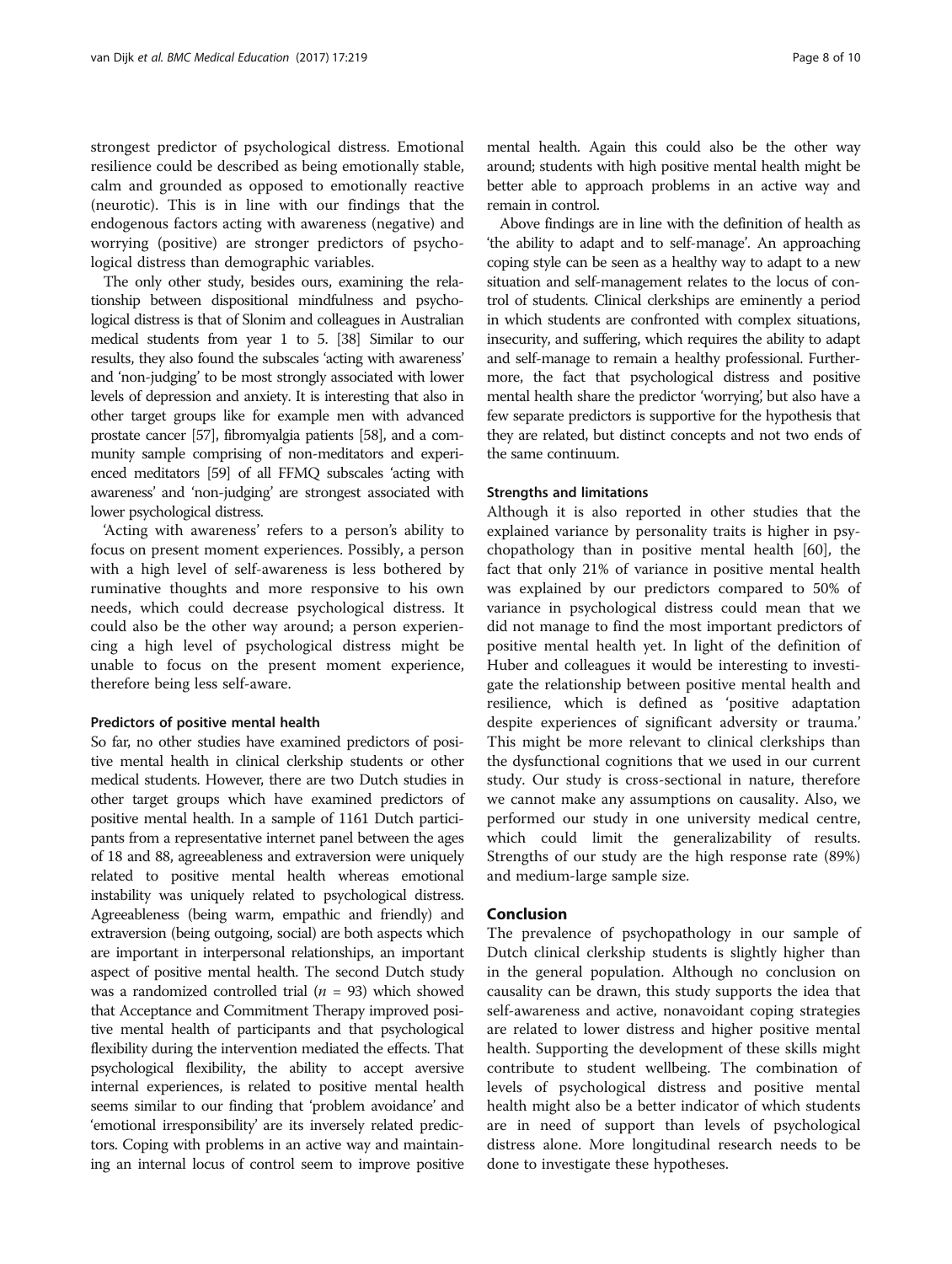strongest predictor of psychological distress. Emotional resilience could be described as being emotionally stable, calm and grounded as opposed to emotionally reactive (neurotic). This is in line with our findings that the endogenous factors acting with awareness (negative) and worrying (positive) are stronger predictors of psychological distress than demographic variables.

The only other study, besides ours, examining the relationship between dispositional mindfulness and psychological distress is that of Slonim and colleagues in Australian medical students from year 1 to 5. [[38\]](#page-9-0) Similar to our results, they also found the subscales 'acting with awareness' and 'non-judging' to be most strongly associated with lower levels of depression and anxiety. It is interesting that also in other target groups like for example men with advanced prostate cancer [[57\]](#page-9-0), fibromyalgia patients [\[58\]](#page-9-0), and a community sample comprising of non-meditators and experienced meditators [\[59\]](#page-9-0) of all FFMQ subscales 'acting with awareness' and 'non-judging' are strongest associated with lower psychological distress.

'Acting with awareness' refers to a person's ability to focus on present moment experiences. Possibly, a person with a high level of self-awareness is less bothered by ruminative thoughts and more responsive to his own needs, which could decrease psychological distress. It could also be the other way around; a person experiencing a high level of psychological distress might be unable to focus on the present moment experience, therefore being less self-aware.

#### Predictors of positive mental health

So far, no other studies have examined predictors of positive mental health in clinical clerkship students or other medical students. However, there are two Dutch studies in other target groups which have examined predictors of positive mental health. In a sample of 1161 Dutch participants from a representative internet panel between the ages of 18 and 88, agreeableness and extraversion were uniquely related to positive mental health whereas emotional instability was uniquely related to psychological distress. Agreeableness (being warm, empathic and friendly) and extraversion (being outgoing, social) are both aspects which are important in interpersonal relationships, an important aspect of positive mental health. The second Dutch study was a randomized controlled trial ( $n = 93$ ) which showed that Acceptance and Commitment Therapy improved positive mental health of participants and that psychological flexibility during the intervention mediated the effects. That psychological flexibility, the ability to accept aversive internal experiences, is related to positive mental health seems similar to our finding that 'problem avoidance' and 'emotional irresponsibility' are its inversely related predictors. Coping with problems in an active way and maintaining an internal locus of control seem to improve positive mental health. Again this could also be the other way around; students with high positive mental health might be better able to approach problems in an active way and remain in control.

Above findings are in line with the definition of health as 'the ability to adapt and to self-manage'. An approaching coping style can be seen as a healthy way to adapt to a new situation and self-management relates to the locus of control of students. Clinical clerkships are eminently a period in which students are confronted with complex situations, insecurity, and suffering, which requires the ability to adapt and self-manage to remain a healthy professional. Furthermore, the fact that psychological distress and positive mental health share the predictor 'worrying', but also have a few separate predictors is supportive for the hypothesis that they are related, but distinct concepts and not two ends of the same continuum.

#### Strengths and limitations

Although it is also reported in other studies that the explained variance by personality traits is higher in psychopathology than in positive mental health [\[60](#page-9-0)], the fact that only 21% of variance in positive mental health was explained by our predictors compared to 50% of variance in psychological distress could mean that we did not manage to find the most important predictors of positive mental health yet. In light of the definition of Huber and colleagues it would be interesting to investigate the relationship between positive mental health and resilience, which is defined as 'positive adaptation despite experiences of significant adversity or trauma.' This might be more relevant to clinical clerkships than the dysfunctional cognitions that we used in our current study. Our study is cross-sectional in nature, therefore we cannot make any assumptions on causality. Also, we performed our study in one university medical centre, which could limit the generalizability of results. Strengths of our study are the high response rate (89%) and medium-large sample size.

# Conclusion

The prevalence of psychopathology in our sample of Dutch clinical clerkship students is slightly higher than in the general population. Although no conclusion on causality can be drawn, this study supports the idea that self-awareness and active, nonavoidant coping strategies are related to lower distress and higher positive mental health. Supporting the development of these skills might contribute to student wellbeing. The combination of levels of psychological distress and positive mental health might also be a better indicator of which students are in need of support than levels of psychological distress alone. More longitudinal research needs to be done to investigate these hypotheses.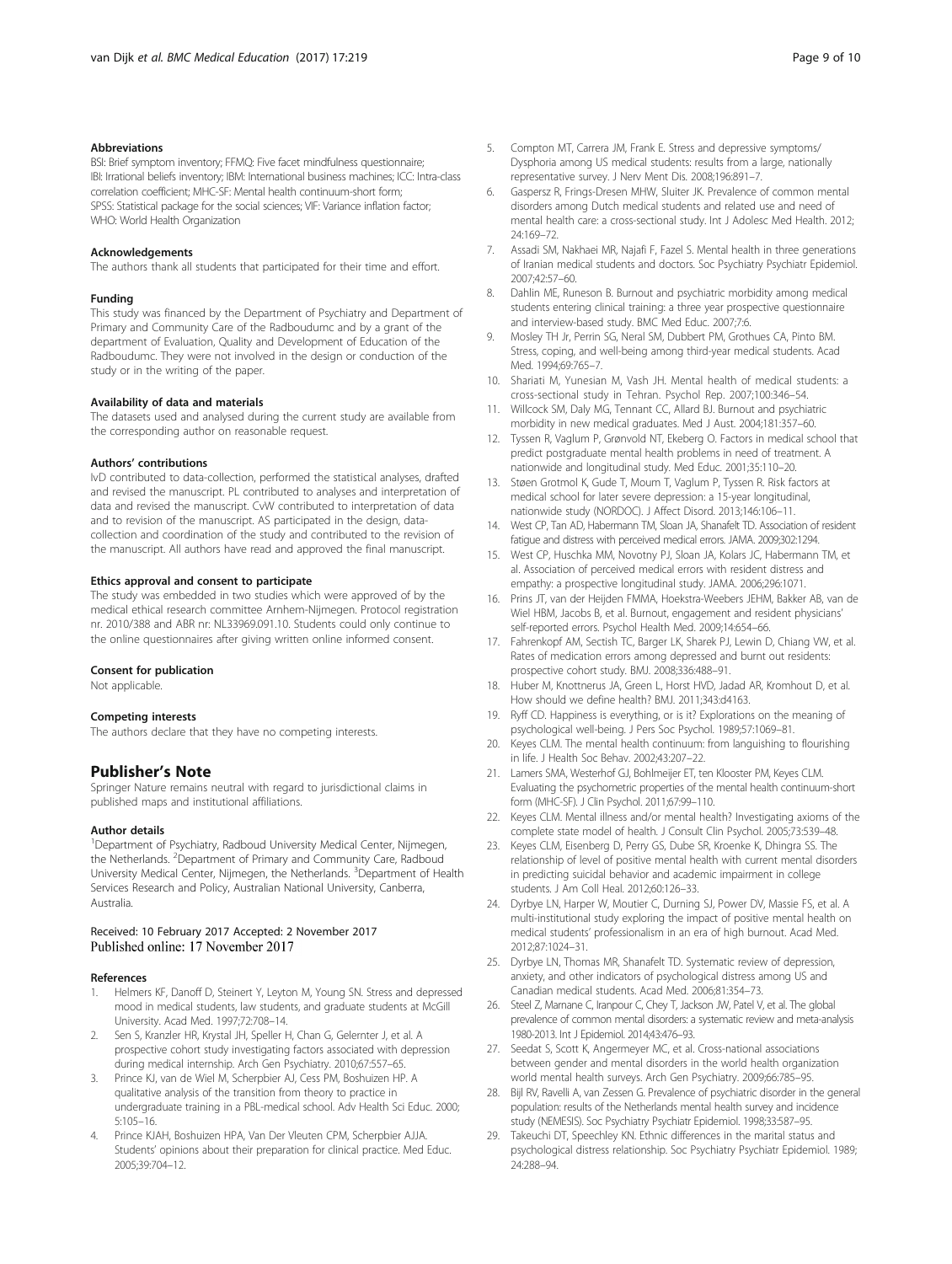#### <span id="page-8-0"></span>Abbreviations

BSI: Brief symptom inventory; FFMQ: Five facet mindfulness questionnaire; IBI: Irrational beliefs inventory; IBM: International business machines; ICC: Intra-class correlation coefficient; MHC-SF: Mental health continuum-short form; SPSS: Statistical package for the social sciences; VIF: Variance inflation factor; WHO: World Health Organization

#### Acknowledgements

The authors thank all students that participated for their time and effort.

#### Funding

This study was financed by the Department of Psychiatry and Department of Primary and Community Care of the Radboudumc and by a grant of the department of Evaluation, Quality and Development of Education of the Radboudumc. They were not involved in the design or conduction of the study or in the writing of the paper.

#### Availability of data and materials

The datasets used and analysed during the current study are available from the corresponding author on reasonable request.

#### Authors' contributions

IvD contributed to data-collection, performed the statistical analyses, drafted and revised the manuscript. PL contributed to analyses and interpretation of data and revised the manuscript. CvW contributed to interpretation of data and to revision of the manuscript. AS participated in the design, datacollection and coordination of the study and contributed to the revision of the manuscript. All authors have read and approved the final manuscript.

#### Ethics approval and consent to participate

The study was embedded in two studies which were approved of by the medical ethical research committee Arnhem-Nijmegen. Protocol registration nr. 2010/388 and ABR nr: NL33969.091.10. Students could only continue to the online questionnaires after giving written online informed consent.

#### Consent for publication

Not applicable.

#### Competing interests

The authors declare that they have no competing interests.

#### Publisher's Note

Springer Nature remains neutral with regard to jurisdictional claims in published maps and institutional affiliations.

#### Author details

<sup>1</sup>Department of Psychiatry, Radboud University Medical Center, Nijmegen, the Netherlands. <sup>2</sup>Department of Primary and Community Care, Radboud University Medical Center, Nijmegen, the Netherlands. <sup>3</sup>Department of Health Services Research and Policy, Australian National University, Canberra, Australia.

#### Received: 10 February 2017 Accepted: 2 November 2017 Published online: 17 November 2017

#### References

- 1. Helmers KF, Danoff D, Steinert Y, Leyton M, Young SN. Stress and depressed mood in medical students, law students, and graduate students at McGill University. Acad Med. 1997;72:708–14.
- Sen S, Kranzler HR, Krystal JH, Speller H, Chan G, Gelernter J, et al. A prospective cohort study investigating factors associated with depression during medical internship. Arch Gen Psychiatry. 2010;67:557–65.
- Prince KJ, van de Wiel M, Scherpbier AJ, Cess PM, Boshuizen HP. A qualitative analysis of the transition from theory to practice in undergraduate training in a PBL-medical school. Adv Health Sci Educ. 2000; 5:105–16.
- 4. Prince KJAH, Boshuizen HPA, Van Der Vleuten CPM, Scherpbier AJJA. Students' opinions about their preparation for clinical practice. Med Educ. 2005;39:704–12.
- 5. Compton MT, Carrera JM, Frank E. Stress and depressive symptoms/ Dysphoria among US medical students: results from a large, nationally representative survey. J Nerv Ment Dis. 2008;196:891–7.
- 6. Gaspersz R, Frings-Dresen MHW, Sluiter JK. Prevalence of common mental disorders among Dutch medical students and related use and need of mental health care: a cross-sectional study. Int J Adolesc Med Health. 2012; 24:169–72.
- 7. Assadi SM, Nakhaei MR, Najafi F, Fazel S. Mental health in three generations of Iranian medical students and doctors. Soc Psychiatry Psychiatr Epidemiol. 2007;42:57–60.
- 8. Dahlin ME, Runeson B. Burnout and psychiatric morbidity among medical students entering clinical training: a three year prospective questionnaire and interview-based study. BMC Med Educ. 2007;7:6.
- 9. Mosley TH Jr, Perrin SG, Neral SM, Dubbert PM, Grothues CA, Pinto BM. Stress, coping, and well-being among third-year medical students. Acad Med. 1994;69:765–7.
- 10. Shariati M, Yunesian M, Vash JH. Mental health of medical students: a cross-sectional study in Tehran. Psychol Rep. 2007;100:346–54.
- 11. Willcock SM, Daly MG, Tennant CC, Allard BJ. Burnout and psychiatric morbidity in new medical graduates. Med J Aust. 2004;181:357–60.
- 12. Tyssen R, Vaglum P, Grønvold NT, Ekeberg O. Factors in medical school that predict postgraduate mental health problems in need of treatment. A nationwide and longitudinal study. Med Educ. 2001;35:110–20.
- 13. Støen Grotmol K, Gude T, Moum T, Vaglum P, Tyssen R. Risk factors at medical school for later severe depression: a 15-year longitudinal, nationwide study (NORDOC). J Affect Disord. 2013;146:106–11.
- 14. West CP, Tan AD, Habermann TM, Sloan JA, Shanafelt TD. Association of resident fatigue and distress with perceived medical errors. JAMA. 2009;302:1294.
- 15. West CP, Huschka MM, Novotny PJ, Sloan JA, Kolars JC, Habermann TM, et al. Association of perceived medical errors with resident distress and empathy: a prospective longitudinal study. JAMA. 2006;296:1071.
- 16. Prins JT, van der Heijden FMMA, Hoekstra-Weebers JEHM, Bakker AB, van de Wiel HBM, Jacobs B, et al. Burnout, engagement and resident physicians' self-reported errors. Psychol Health Med. 2009;14:654–66.
- 17. Fahrenkopf AM, Sectish TC, Barger LK, Sharek PJ, Lewin D, Chiang VW, et al. Rates of medication errors among depressed and burnt out residents: prospective cohort study. BMJ. 2008;336:488–91.
- 18. Huber M, Knottnerus JA, Green L, Horst HVD, Jadad AR, Kromhout D, et al. How should we define health? BMJ. 2011;343:d4163.
- 19. Ryff CD. Happiness is everything, or is it? Explorations on the meaning of psychological well-being. J Pers Soc Psychol. 1989;57:1069–81.
- 20. Keyes CLM. The mental health continuum: from languishing to flourishing in life. J Health Soc Behav. 2002;43:207–22.
- 21. Lamers SMA, Westerhof GJ, Bohlmeijer ET, ten Klooster PM, Keyes CLM. Evaluating the psychometric properties of the mental health continuum-short form (MHC-SF). J Clin Psychol. 2011;67:99–110.
- 22. Keyes CLM. Mental illness and/or mental health? Investigating axioms of the complete state model of health. J Consult Clin Psychol. 2005;73:539–48.
- 23. Keyes CLM, Eisenberg D, Perry GS, Dube SR, Kroenke K, Dhingra SS. The relationship of level of positive mental health with current mental disorders in predicting suicidal behavior and academic impairment in college students. J Am Coll Heal. 2012;60:126–33.
- 24. Dyrbye LN, Harper W, Moutier C, Durning SJ, Power DV, Massie FS, et al. A multi-institutional study exploring the impact of positive mental health on medical students' professionalism in an era of high burnout. Acad Med. 2012;87:1024–31.
- 25. Dyrbye LN, Thomas MR, Shanafelt TD. Systematic review of depression, anxiety, and other indicators of psychological distress among US and Canadian medical students. Acad Med. 2006;81:354–73.
- 26. Steel Z, Marnane C, Iranpour C, Chey T, Jackson JW, Patel V, et al. The global prevalence of common mental disorders: a systematic review and meta-analysis 1980-2013. Int J Epidemiol. 2014;43:476–93.
- 27. Seedat S, Scott K, Angermeyer MC, et al. Cross-national associations between gender and mental disorders in the world health organization world mental health surveys. Arch Gen Psychiatry. 2009;66:785–95.
- 28. Bijl RV, Ravelli A, van Zessen G. Prevalence of psychiatric disorder in the general population: results of the Netherlands mental health survey and incidence study (NEMESIS). Soc Psychiatry Psychiatr Epidemiol. 1998;33:587–95.
- 29. Takeuchi DT, Speechley KN. Ethnic differences in the marital status and psychological distress relationship. Soc Psychiatry Psychiatr Epidemiol. 1989; 24:288–94.